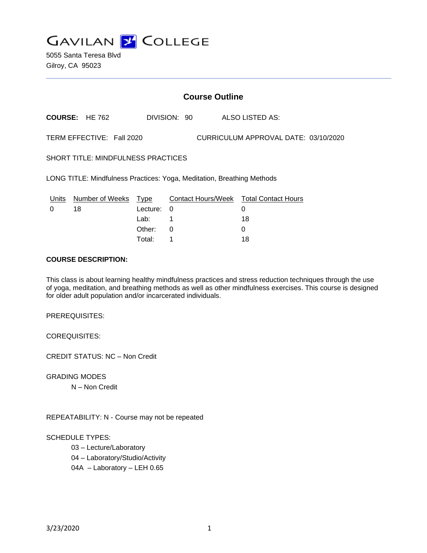**GAVILAN J COLLEGE** 

5055 Santa Teresa Blvd Gilroy, CA 95023

|                                                                        | <b>Course Outline</b>     |                  |              |  |                                             |  |
|------------------------------------------------------------------------|---------------------------|------------------|--------------|--|---------------------------------------------|--|
|                                                                        | <b>COURSE: HE 762</b>     |                  | DIVISION: 90 |  | ALSO LISTED AS:                             |  |
|                                                                        | TERM EFFECTIVE: Fall 2020 |                  |              |  | CURRICULUM APPROVAL DATE: 03/10/2020        |  |
| SHORT TITLE: MINDFULNESS PRACTICES                                     |                           |                  |              |  |                                             |  |
| LONG TITLE: Mindfulness Practices: Yoga, Meditation, Breathing Methods |                           |                  |              |  |                                             |  |
| Units<br>0                                                             | Number of Weeks<br>18     | Type<br>Lecture: | 0            |  | Contact Hours/Week Total Contact Hours<br>0 |  |

Lab: 1 18 Other: 0 0 Total: 1 18

This class is about learning healthy mindfulness practices and stress reduction techniques through the use of yoga, meditation, and breathing methods as well as other mindfulness exercises. This course is designed for older adult population and/or incarcerated individuals.

PREREQUISITES:

COREQUISITES:

CREDIT STATUS: NC – Non Credit

GRADING MODES

N – Non Credit

REPEATABILITY: N - Course may not be repeated

SCHEDULE TYPES:

03 – Lecture/Laboratory

04 – Laboratory/Studio/Activity

04A – Laboratory – LEH 0.65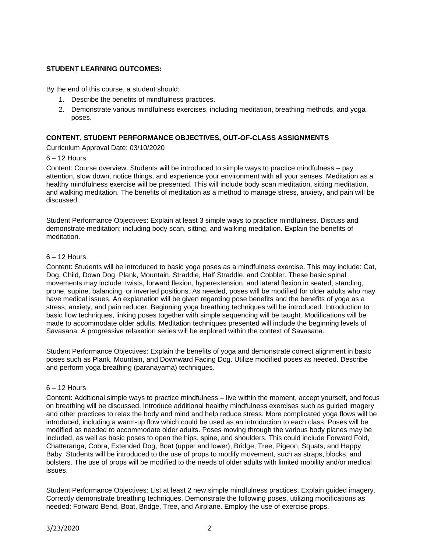# **STUDENT LEARNING OUTCOMES:**

By the end of this course, a student should:

- 1. Describe the benefits of mindfulness practices.
- 2. Demonstrate various mindfulness exercises, including meditation, breathing methods, and yoga poses.

## **CONTENT, STUDENT PERFORMANCE OBJECTIVES, OUT-OF-CLASS ASSIGNMENTS**

## Curriculum Approval Date: 03/10/2020

## 6 – 12 Hours

Content: Course overview. Students will be introduced to simple ways to practice mindfulness – pay attention, slow down, notice things, and experience your environment with all your senses. Meditation as a healthy mindfulness exercise will be presented. This will include body scan meditation, sitting meditation, and walking meditation. The benefits of meditation as a method to manage stress, anxiety, and pain will be discussed.

Student Performance Objectives: Explain at least 3 simple ways to practice mindfulness. Discuss and demonstrate meditation; including body scan, sitting, and walking meditation. Explain the benefits of meditation.

## $6 - 12$  Hours

Content: Students will be introduced to basic yoga poses as a mindfulness exercise. This may include: Cat, Dog, Child, Down Dog, Plank, Mountain, Straddle, Half Straddle, and Cobbler. These basic spinal movements may include: twists, forward flexion, hyperextension, and lateral flexion in seated, standing, prone, supine, balancing, or inverted positions. As needed, poses will be modified for older adults who may have medical issues. An explanation will be given regarding pose benefits and the benefits of yoga as a stress, anxiety, and pain reducer. Beginning yoga breathing techniques will be introduced. Introduction to basic flow techniques, linking poses together with simple sequencing will be taught. Modifications will be made to accommodate older adults. Meditation techniques presented will include the beginning levels of Savasana. A progressive relaxation series will be explored within the context of Savasana.

Student Performance Objectives: Explain the benefits of yoga and demonstrate correct alignment in basic poses such as Plank, Mountain, and Downward Facing Dog. Utilize modified poses as needed. Describe and perform yoga breathing (paranayama) techniques.

# 6 – 12 Hours

Content: Additional simple ways to practice mindfulness – live within the moment, accept yourself, and focus on breathing will be discussed. Introduce additional healthy mindfulness exercises such as guided imagery and other practices to relax the body and mind and help reduce stress. More complicated yoga flows will be introduced, including a warm-up flow which could be used as an introduction to each class. Poses will be modified as needed to accommodate older adults. Poses moving through the various body planes may be included, as well as basic poses to open the hips, spine, and shoulders. This could include Forward Fold, Chatteranga, Cobra, Extended Dog, Boat (upper and lower), Bridge, Tree, Pigeon, Squats, and Happy Baby. Students will be introduced to the use of props to modify movement, such as straps, blocks, and bolsters. The use of props will be modified to the needs of older adults with limited mobility and/or medical issues.

Student Performance Objectives: List at least 2 new simple mindfulness practices. Explain guided imagery. Correctly demonstrate breathing techniques. Demonstrate the following poses, utilizing modifications as needed: Forward Bend, Boat, Bridge, Tree, and Airplane. Employ the use of exercise props.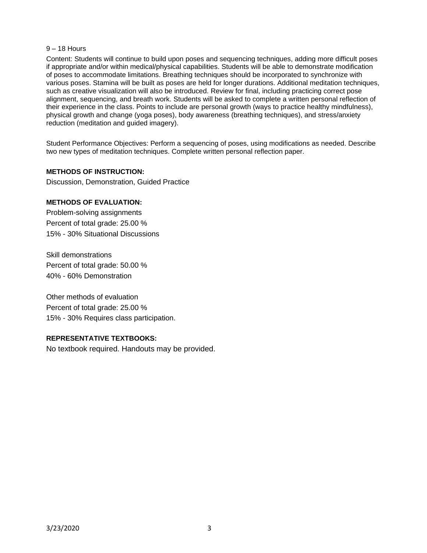#### 9 – 18 Hours

Content: Students will continue to build upon poses and sequencing techniques, adding more difficult poses if appropriate and/or within medical/physical capabilities. Students will be able to demonstrate modification of poses to accommodate limitations. Breathing techniques should be incorporated to synchronize with various poses. Stamina will be built as poses are held for longer durations. Additional meditation techniques, such as creative visualization will also be introduced. Review for final, including practicing correct pose alignment, sequencing, and breath work. Students will be asked to complete a written personal reflection of their experience in the class. Points to include are personal growth (ways to practice healthy mindfulness), physical growth and change (yoga poses), body awareness (breathing techniques), and stress/anxiety reduction (meditation and guided imagery).

Student Performance Objectives: Perform a sequencing of poses, using modifications as needed. Describe two new types of meditation techniques. Complete written personal reflection paper.

# **METHODS OF INSTRUCTION:**

Discussion, Demonstration, Guided Practice

# **METHODS OF EVALUATION:**

Problem-solving assignments Percent of total grade: 25.00 % 15% - 30% Situational Discussions

Skill demonstrations Percent of total grade: 50.00 % 40% - 60% Demonstration

Other methods of evaluation Percent of total grade: 25.00 % 15% - 30% Requires class participation.

# **REPRESENTATIVE TEXTBOOKS:**

No textbook required. Handouts may be provided.